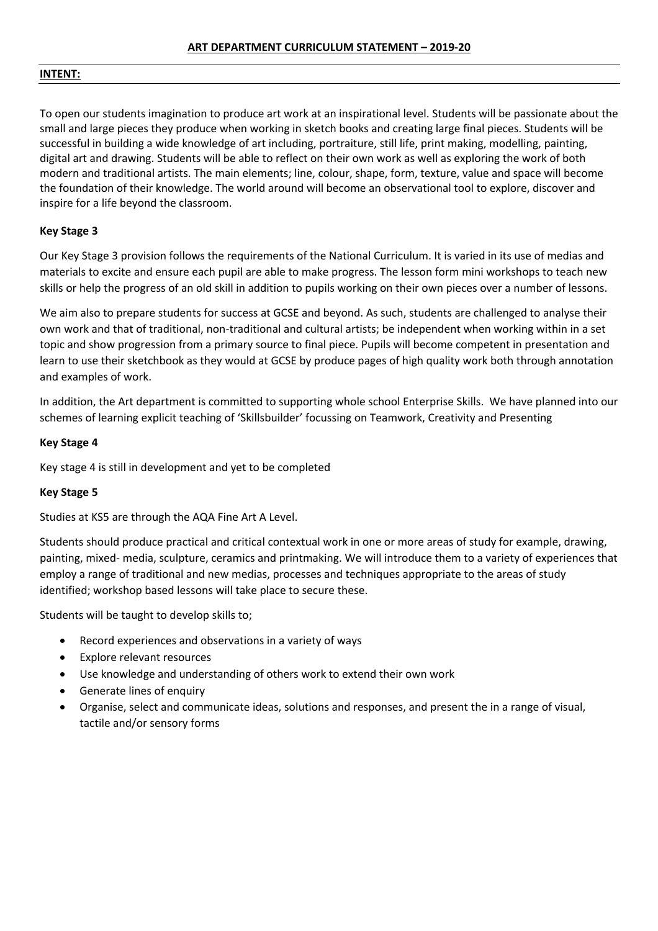## **INTENT:**

To open our students imagination to produce art work at an inspirational level. Students will be passionate about the small and large pieces they produce when working in sketch books and creating large final pieces. Students will be successful in building a wide knowledge of art including, portraiture, still life, print making, modelling, painting, digital art and drawing. Students will be able to reflect on their own work as well as exploring the work of both modern and traditional artists. The main elements; line, colour, shape, form, texture, value and space will become the foundation of their knowledge. The world around will become an observational tool to explore, discover and inspire for a life beyond the classroom.

# **Key Stage 3**

Our Key Stage 3 provision follows the requirements of the National Curriculum. It is varied in its use of medias and materials to excite and ensure each pupil are able to make progress. The lesson form mini workshops to teach new skills or help the progress of an old skill in addition to pupils working on their own pieces over a number of lessons.

We aim also to prepare students for success at GCSE and beyond. As such, students are challenged to analyse their own work and that of traditional, non-traditional and cultural artists; be independent when working within in a set topic and show progression from a primary source to final piece. Pupils will become competent in presentation and learn to use their sketchbook as they would at GCSE by produce pages of high quality work both through annotation and examples of work.

In addition, the Art department is committed to supporting whole school Enterprise Skills. We have planned into our schemes of learning explicit teaching of 'Skillsbuilder' focussing on Teamwork, Creativity and Presenting

# **Key Stage 4**

Key stage 4 is still in development and yet to be completed

# **Key Stage 5**

Studies at KS5 are through the AQA Fine Art A Level.

Students should produce practical and critical contextual work in one or more areas of study for example, drawing, painting, mixed- media, sculpture, ceramics and printmaking. We will introduce them to a variety of experiences that employ a range of traditional and new medias, processes and techniques appropriate to the areas of study identified; workshop based lessons will take place to secure these.

Students will be taught to develop skills to;

- Record experiences and observations in a variety of ways
- Explore relevant resources
- Use knowledge and understanding of others work to extend their own work
- Generate lines of enquiry
- Organise, select and communicate ideas, solutions and responses, and present the in a range of visual, tactile and/or sensory forms